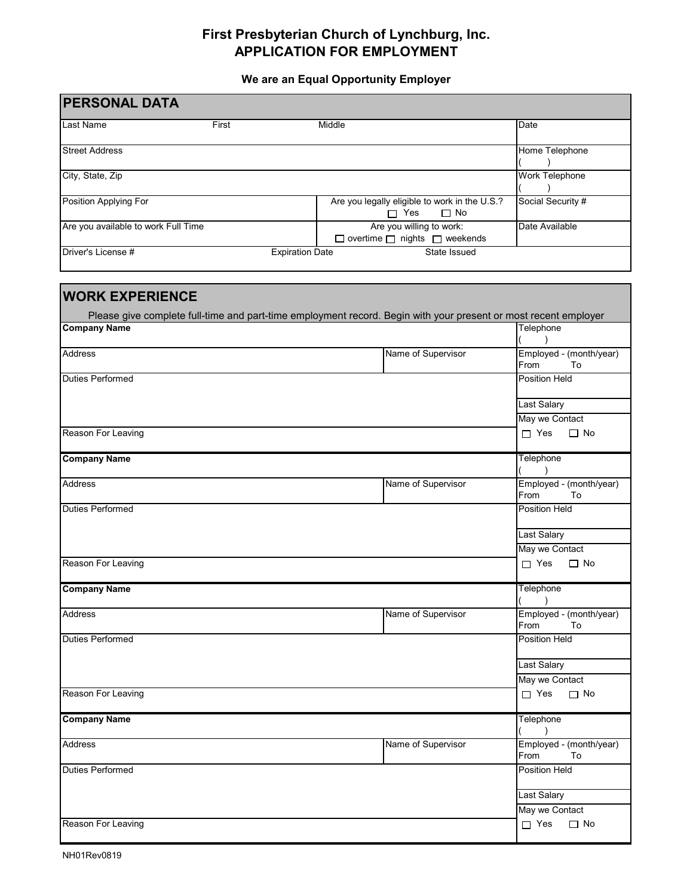## **First Presbyterian Church of Lynchburg, Inc. APPLICATION FOR EMPLOYMENT**

**We are an Equal Opportunity Employer**

| <b>PERSONAL DATA</b>                |                        |                                                                                                                 |                                                              |
|-------------------------------------|------------------------|-----------------------------------------------------------------------------------------------------------------|--------------------------------------------------------------|
| Last Name                           | First                  | Middle                                                                                                          | Date                                                         |
| <b>Street Address</b>               |                        |                                                                                                                 | Home Telephone                                               |
| City, State, Zip                    |                        |                                                                                                                 | <b>Work Telephone</b>                                        |
| Position Applying For               |                        | Are you legally eligible to work in the U.S.?<br>$\Box$ Yes<br>$\Box$ No                                        | Social Security #                                            |
| Are you available to work Full Time |                        | Are you willing to work:<br>$\Box$ overtime $\Box$ nights $\Box$ weekends                                       | Date Available                                               |
| Driver's License #                  | <b>Expiration Date</b> | State Issued                                                                                                    |                                                              |
| <b>WORK EXPERIENCE</b>              |                        | Please give complete full-time and part-time employment record. Begin with your present or most recent employer | Telephone                                                    |
| <b>Company Name</b>                 |                        |                                                                                                                 |                                                              |
| <b>Address</b>                      |                        | Name of Supervisor                                                                                              | Employed - (month/year)<br>From<br>To                        |
| <b>Duties Performed</b>             |                        |                                                                                                                 | <b>Position Held</b><br><b>Last Salary</b><br>May we Contact |
| Reason For Leaving                  |                        |                                                                                                                 | $\Box$ Yes<br>$\Box$ No                                      |
| <b>Company Name</b>                 |                        |                                                                                                                 | Telephone                                                    |
| <b>Address</b>                      |                        | Name of Supervisor                                                                                              | Employed - (month/year)<br>To<br>From                        |
| <b>Duties Performed</b>             |                        |                                                                                                                 | <b>Position Held</b>                                         |
|                                     |                        |                                                                                                                 | Last Salary<br>May we Contact                                |
| Reason For Leaving                  |                        |                                                                                                                 | $\Box$ Yes<br>$\Box$ No                                      |
| <b>Company Name</b>                 |                        |                                                                                                                 | Telephone<br>$\rightarrow$                                   |
| Address                             |                        | Name of Supervisor                                                                                              | Employed - (month/year)<br>From<br>To                        |
| <b>Duties Performed</b>             |                        |                                                                                                                 | Position Held                                                |
|                                     |                        |                                                                                                                 | <b>Last Salary</b><br>May we Contact                         |
| Reason For Leaving                  |                        |                                                                                                                 | $\Box$ Yes<br>$\Box$ No                                      |
| <b>Company Name</b>                 |                        |                                                                                                                 | Telephone                                                    |
| <b>Address</b>                      |                        | Name of Supervisor                                                                                              | Employed - (month/year)<br>From<br>To                        |
| <b>Duties Performed</b>             |                        |                                                                                                                 | <b>Position Held</b>                                         |
|                                     |                        |                                                                                                                 | <b>Last Salary</b>                                           |
| Reason For Leaving                  |                        |                                                                                                                 | May we Contact<br>$\Box$ Yes<br>$\Box$ No                    |